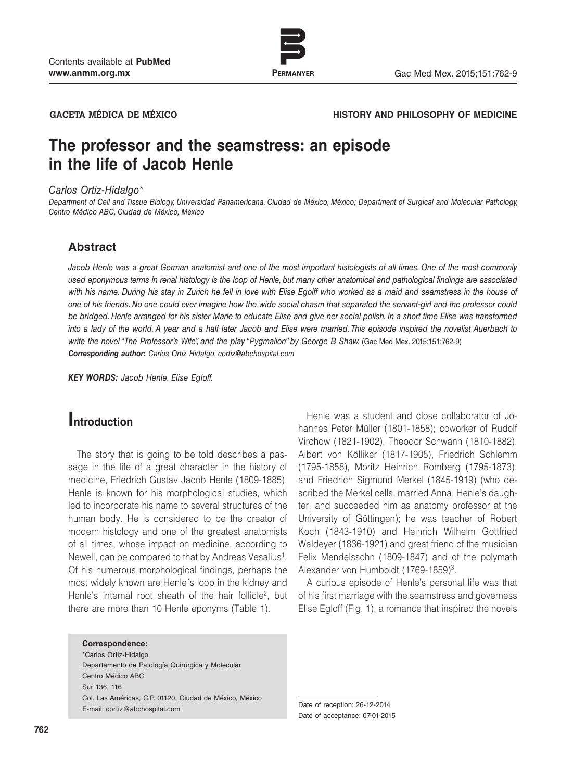

www.permanyer.com

#### **GACETA MÉDICA DE MÉXICO HISTORY AND PHILOSOPHY OF MEDICINE**

# **The professor and the seamstress: an episode in the life of Jacob Henle**

#### *Carlos Ortiz-Hidalgo\**

*Department of Cell and Tissue Biology, Universidad Panamericana, Ciudad de México, México; Department of Surgical and Molecular Pathology, Centro Médico ABC, Ciudad de México, México*

### **Abstract**

*Jacob Henle was a great German anatomist and one of the most important histologists of all times. One of the most commonly used eponymous terms in renal histology is the loop of Henle, but many other anatomical and pathological findings are associated*  with his name. During his stay in Zurich he fell in love with Elise Egolff who worked as a maid and seamstress in the house of *one of his friends. No one could ever imagine how the wide social chasm that separated the servant-girl and the professor could be bridged. Henle arranged for his sister Marie to educate Elise and give her social polish. In a short time Elise was transformed into a lady of the world. A year and a half later Jacob and Elise were married. This episode inspired the novelist Auerbach to write the novel "The Professor's Wife", and the play "Pygmalion" by George B Shaw. (Gac Med Mex. 2015;151:762-9) Corresponding author: Carlos Ortiz Hidalgo, cortiz@abchospital.com*

*KEY WORDS: Jacob Henle. Elise Egloff.*

## **Introduction**

The story that is going to be told describes a passage in the life of a great character in the history of medicine, Friedrich Gustav Jacob Henle (1809-1885). Henle is known for his morphological studies, which led to incorporate his name to several structures of the human body. He is considered to be the creator of modern histology and one of the greatest anatomists of all times, whose impact on medicine, according to Newell, can be compared to that by Andreas Vesalius<sup>1</sup>. Of his numerous morphological findings, perhaps the most widely known are Henle´s loop in the kidney and Henle's internal root sheath of the hair follicle<sup>2</sup>, but there are more than 10 Henle eponyms (Table 1).

#### **Correspondence:**

\*Carlos Ortiz-Hidalgo Departamento de Patología Quirúrgica y Molecular Centro Médico ABC Sur 136, 116 Col. Las Américas, C.P. 01120, Ciudad de México, México E-mail: cortiz@abchospital.com Date of reception: 26-12-2014

Henle was a student and close collaborator of Johannes Peter Müller (1801-1858); coworker of Rudolf Virchow (1821-1902), Theodor Schwann (1810-1882), Albert von Kölliker (1817-1905), Friedrich Schlemm (1795-1858), Moritz Heinrich Romberg (1795-1873), and Friedrich Sigmund Merkel (1845-1919) (who described the Merkel cells, married Anna, Henle's daughter, and succeeded him as anatomy professor at the University of Göttingen); he was teacher of Robert Koch (1843-1910) and Heinrich Wilhelm Gottfried Waldeyer (1836-1921) and great friend of the musician Felix Mendelssohn (1809-1847) and of the polymath Alexander von Humboldt (1769-1859)<sup>3</sup>.

A curious episode of Henle's personal life was that of his first marriage with the seamstress and governess Elise Egloff (Fig. 1), a romance that inspired the novels

Date of acceptance: 07-01-2015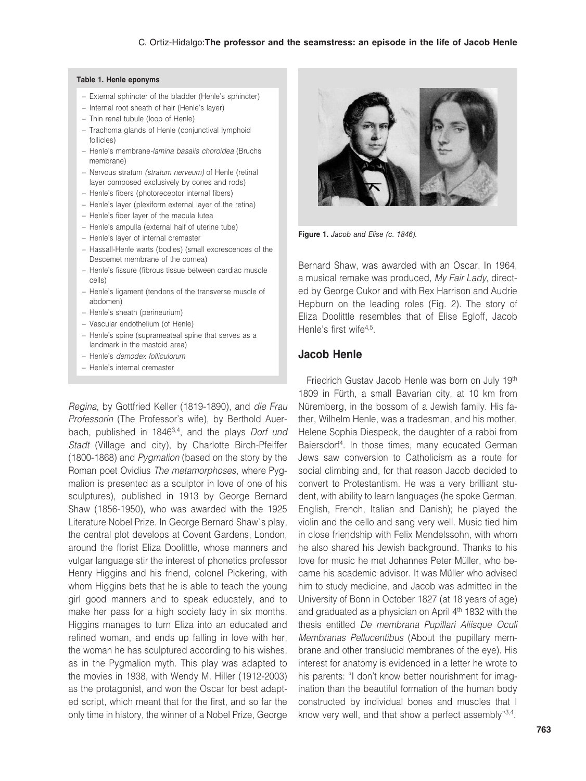#### **Table 1. Henle eponyms**

- External sphincter of the bladder (Henle's sphincter)
- Internal root sheath of hair (Henle's layer)
- Thin renal tubule (loop of Henle)
- Trachoma glands of Henle (conjunctival lymphoid follicles)
- Henle's membrane*-lamina basalis choroidea* (Bruchs membrane)
- Nervous stratum *(stratum nerveum)* of Henle (retinal layer composed exclusively by cones and rods)
- Henle's fibers (photoreceptor internal fibers)
- Henle's layer (plexiform external layer of the retina)
- Henle's fiber layer of the macula lutea
- Henle's ampulla (external half of uterine tube)
- Henle's layer of internal cremaster
- Hassall-Henle warts (bodies) (small excrescences of the Descemet membrane of the cornea)
- Henle's fissure (fibrous tissue between cardiac muscle cells)
- Henle's ligament (tendons of the transverse muscle of abdomen)
- Henle's sheath (perineurium)
- Vascular endothelium (of Henle)
- Henle's spine (suprameateal spine that serves as a landmark in the mastoid area)
- Henle's *demodex folliculorum*
- Henle's internal cremaster

*Regina*, by Gottfried Keller (1819-1890), and *die Frau Professorin* (The Professor's wife), by Berthold Auerbach, published in 18463,4, and the plays *Dorf und Stadt* (Village and city), by Charlotte Birch-Pfeiffer (1800-1868) and *Pygmalion* (based on the story by the Roman poet Ovidius *The metamorphoses*, where Pygmalion is presented as a sculptor in love of one of his sculptures), published in 1913 by George Bernard Shaw (1856-1950), who was awarded with the 1925 Literature Nobel Prize. In George Bernard Shaw`s play, the central plot develops at Covent Gardens, London, around the florist Eliza Doolittle, whose manners and vulgar language stir the interest of phonetics professor Henry Higgins and his friend, colonel Pickering, with whom Higgins bets that he is able to teach the young girl good manners and to speak educately, and to make her pass for a high society lady in six months. Higgins manages to turn Eliza into an educated and refined woman, and ends up falling in love with her, the woman he has sculptured according to his wishes, as in the Pygmalion myth. This play was adapted to the movies in 1938, with Wendy M. Hiller (1912-2003) as the protagonist, and won the Oscar for best adapted script, which meant that for the first, and so far the only time in history, the winner of a Nobel Prize, George



**Figure 1.** *Jacob and Elise (c. 1846).*

Bernard Shaw, was awarded with an Oscar. In 1964, a musical remake was produced, *My Fair Lady*, directed by George Cukor and with Rex Harrison and Audrie Hepburn on the leading roles (Fig. 2). The story of Eliza Doolittle resembles that of Elise Egloff, Jacob Henle's first wife<sup>4,5</sup>

### **Jacob Henle**

Friedrich Gustav Jacob Henle was born on July 19th 1809 in Fürth, a small Bavarian city, at 10 km from Nüremberg, in the bossom of a Jewish family. His father, Wilhelm Henle, was a tradesman, and his mother, Helene Sophia Diespeck, the daughter of a rabbi from Baiersdorf4. In those times, many ecucated German Jews saw conversion to Catholicism as a route for social climbing and, for that reason Jacob decided to convert to Protestantism. He was a very brilliant student, with ability to learn languages (he spoke German, English, French, Italian and Danish); he played the violin and the cello and sang very well. Music tied him in close friendship with Felix Mendelssohn, with whom he also shared his Jewish background. Thanks to his love for music he met Johannes Peter Müller, who became his academic advisor. It was Müller who advised him to study medicine, and Jacob was admitted in the University of Bonn in October 1827 (at 18 years of age) and graduated as a physician on April 4<sup>th</sup> 1832 with the thesis entitled *De membrana Pupillari Aliisque Oculi Membranas Pellucentibus* (About the pupillary membrane and other translucid membranes of the eye). His interest for anatomy is evidenced in a letter he wrote to his parents: "I don't know better nourishment for imagination than the beautiful formation of the human body constructed by individual bones and muscles that I know very well, and that show a perfect assembly"3,4.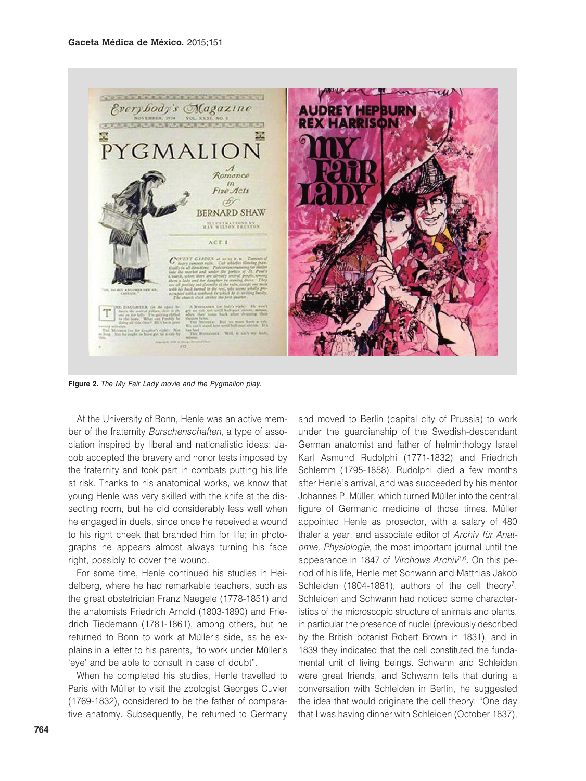

**Figure 2.** *The My Fair Lady movie and the Pygmalion play.*

At the University of Bonn, Henle was an active member of the fraternity *Burschenschaften*, a type of association inspired by liberal and nationalistic ideas; Jacob accepted the bravery and honor tests imposed by the fraternity and took part in combats putting his life at risk. Thanks to his anatomical works, we know that young Henle was very skilled with the knife at the dissecting room, but he did considerably less well when he engaged in duels, since once he received a wound to his right cheek that branded him for life; in photographs he appears almost always turning his face right, possibly to cover the wound.

For some time, Henle continued his studies in Heidelberg, where he had remarkable teachers, such as the great obstetrician Franz Naegele (1778-1851) and the anatomists Friedrich Arnold (1803-1890) and Friedrich Tiedemann (1781-1861), among others, but he returned to Bonn to work at Müller's side, as he explains in a letter to his parents, "to work under Müller's 'eye' and be able to consult in case of doubt".

When he completed his studies, Henle travelled to Paris with Müller to visit the zoologist Georges Cuvier (1769-1832), considered to be the father of comparative anatomy. Subsequently, he returned to Germany

and moved to Berlin (capital city of Prussia) to work under the guardianship of the Swedish-descendant German anatomist and father of helminthology Israel Karl Asmund Rudolphi (1771-1832) and Friedrich Schlemm (1795-1858). Rudolphi died a few months after Henle's arrival, and was succeeded by his mentor Johannes P. Müller, which turned Müller into the central figure of Germanic medicine of those times. Müller appointed Henle as prosector, with a salary of 480 thaler a year, and associate editor of *Archiv für Anatomie, Physiologie*, the most important journal until the appearance in 1847 of *Virchows Archiv*<sup>3,6</sup>. On this period of his life, Henle met Schwann and Matthias Jakob Schleiden (1804-1881), authors of the cell theory<sup>7</sup>. Schleiden and Schwann had noticed some characteristics of the microscopic structure of animals and plants, in particular the presence of nuclei (previously described by the British botanist Robert Brown in 1831), and in 1839 they indicated that the cell constituted the fundamental unit of living beings. Schwann and Schleiden were great friends, and Schwann tells that during a conversation with Schleiden in Berlin, he suggested the idea that would originate the cell theory: "One day that I was having dinner with Schleiden (October 1837),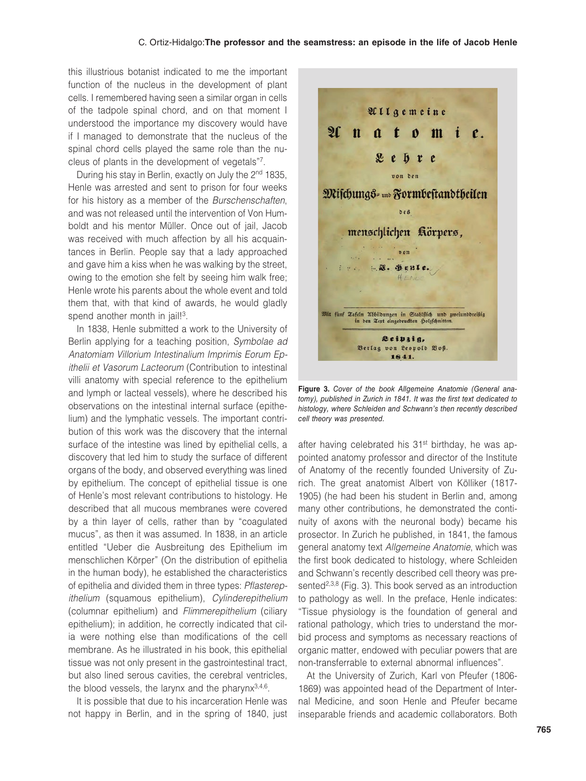this illustrious botanist indicated to me the important function of the nucleus in the development of plant cells. I remembered having seen a similar organ in cells of the tadpole spinal chord, and on that moment I understood the importance my discovery would have if I managed to demonstrate that the nucleus of the spinal chord cells played the same role than the nucleus of plants in the development of vegetals"7.

During his stay in Berlin, exactly on July the 2<sup>nd</sup> 1835, Henle was arrested and sent to prison for four weeks for his history as a member of the *Burschenschaften*, and was not released until the intervention of Von Humboldt and his mentor Müller. Once out of jail, Jacob was received with much affection by all his acquaintances in Berlin. People say that a lady approached and gave him a kiss when he was walking by the street, owing to the emotion she felt by seeing him walk free; Henle wrote his parents about the whole event and told them that, with that kind of awards, he would gladly spend another month in jail!<sup>3</sup>.

In 1838, Henle submitted a work to the University of Berlin applying for a teaching position, *Symbolae ad Anatomiam Villorium Intestinalium Imprimis Eorum Epithelii et Vasorum Lacteorum* (Contribution to intestinal villi anatomy with special reference to the epithelium and lymph or lacteal vessels), where he described his observations on the intestinal internal surface (epithelium) and the lymphatic vessels. The important contribution of this work was the discovery that the internal surface of the intestine was lined by epithelial cells, a discovery that led him to study the surface of different organs of the body, and observed everything was lined by epithelium. The concept of epithelial tissue is one of Henle's most relevant contributions to histology. He described that all mucous membranes were covered by a thin layer of cells, rather than by "coagulated mucus", as then it was assumed. In 1838, in an article entitled "Ueber die Ausbreitung des Epithelium im menschlichen Körper" (On the distribution of epithelia in the human body), he established the characteristics of epithelia and divided them in three types: *Pflasterepithelium* (squamous epithelium), *Cylinderepithelium*  (columnar epithelium) and *Flimmerepithelium* (ciliary epithelium); in addition, he correctly indicated that cilia were nothing else than modifications of the cell membrane. As he illustrated in his book, this epithelial tissue was not only present in the gastrointestinal tract, but also lined serous cavities, the cerebral ventricles, the blood vessels, the larynx and the pharynx $3,4,6$ .

It is possible that due to his incarceration Henle was not happy in Berlin, and in the spring of 1840, just



**Figure 3.** *Cover of the book Allgemeine Anatomie (General anatomy), published in Zurich in 1841. It was the first text dedicated to histology, where Schleiden and Schwann's then recently described cell theory was presented.*

after having celebrated his 31st birthday, he was appointed anatomy professor and director of the Institute of Anatomy of the recently founded University of Zurich. The great anatomist Albert von Kölliker (1817- 1905) (he had been his student in Berlin and, among many other contributions, he demonstrated the continuity of axons with the neuronal body) became his prosector. In Zurich he published, in 1841, the famous general anatomy text *Allgemeine Anatomie*, which was the first book dedicated to histology, where Schleiden and Schwann's recently described cell theory was presented<sup>2,3,8</sup> (Fig. 3). This book served as an introduction to pathology as well. In the preface, Henle indicates: "Tissue physiology is the foundation of general and rational pathology, which tries to understand the morbid process and symptoms as necessary reactions of organic matter, endowed with peculiar powers that are non-transferrable to external abnormal influences".

At the University of Zurich, Karl von Pfeufer (1806- 1869) was appointed head of the Department of Internal Medicine, and soon Henle and Pfeufer became inseparable friends and academic collaborators. Both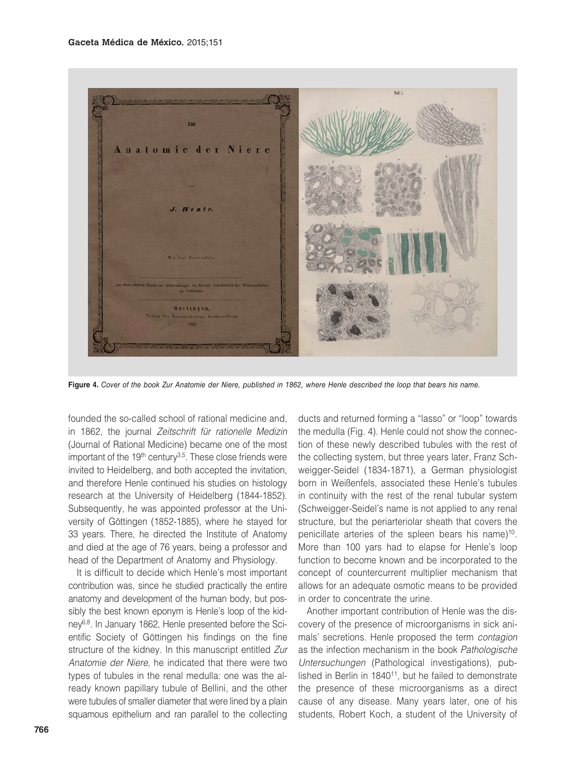

**Figure 4.** *Cover of the book Zur Anatomie der Niere, published in 1862, where Henle described the loop that bears his name.*

founded the so-called school of rational medicine and, in 1862, the journal *Zeitschrift für rationelle Medizin*  (Journal of Rational Medicine) became one of the most important of the  $19<sup>th</sup>$  century<sup>3,5</sup>. These close friends were invited to Heidelberg, and both accepted the invitation, and therefore Henle continued his studies on histology research at the University of Heidelberg (1844-1852). Subsequently, he was appointed professor at the University of Göttingen (1852-1885), where he stayed for 33 years. There, he directed the Institute of Anatomy and died at the age of 76 years, being a professor and head of the Department of Anatomy and Physiology.

It is difficult to decide which Henle's most important contribution was, since he studied practically the entire anatomy and development of the human body, but possibly the best known eponym is Henle's loop of the kidney6,8. In January 1862, Henle presented before the Scientific Society of Göttingen his findings on the fine structure of the kidney. In this manuscript entitled *Zur Anatomie der Niere*, he indicated that there were two types of tubules in the renal medulla: one was the already known papillary tubule of Bellini, and the other were tubules of smaller diameter that were lined by a plain squamous epithelium and ran parallel to the collecting

ducts and returned forming a "lasso" or "loop" towards the medulla (Fig. 4). Henle could not show the connection of these newly described tubules with the rest of the collecting system, but three years later, Franz Schweigger-Seidel (1834-1871), a German physiologist born in Weißenfels, associated these Henle's tubules in continuity with the rest of the renal tubular system (Schweigger-Seidel's name is not applied to any renal structure, but the periarteriolar sheath that covers the penicillate arteries of the spleen bears his name)<sup>10</sup>. More than 100 yars had to elapse for Henle's loop function to become known and be incorporated to the concept of countercurrent multiplier mechanism that allows for an adequate osmotic means to be provided in order to concentrate the urine.

Another important contribution of Henle was the discovery of the presence of microorganisms in sick animals' secretions. Henle proposed the term *contagion* as the infection mechanism in the book *Pathologische Untersuchungen* (Pathological investigations), published in Berlin in 1840<sup>11</sup>, but he failed to demonstrate the presence of these microorganisms as a direct cause of any disease. Many years later, one of his students, Robert Koch, a student of the University of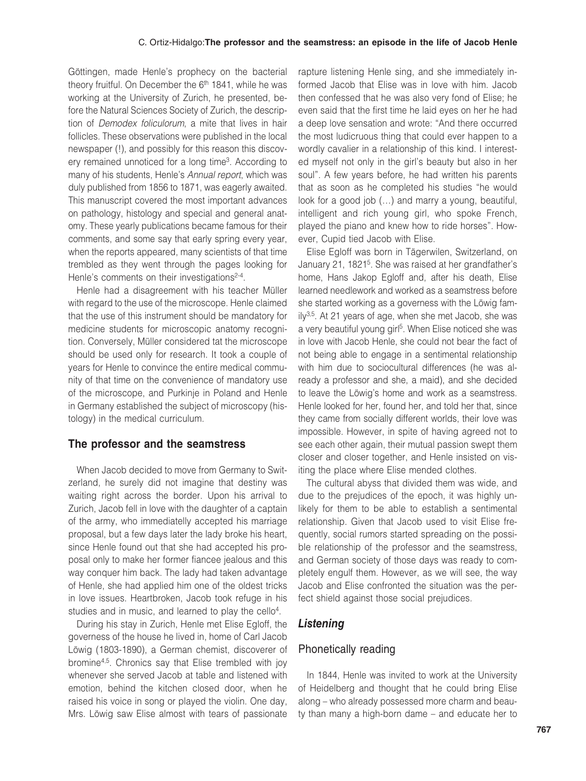#### C. Ortiz-Hidalgo:**The professor and the seamstress: an episode in the life of Jacob Henle**

Göttingen, made Henle's prophecy on the bacterial theory fruitful. On December the 6<sup>th</sup> 1841, while he was working at the University of Zurich, he presented, before the Natural Sciences Society of Zurich, the description of *Demodex foliculorum*, a mite that lives in hair follicles. These observations were published in the local newspaper (!), and possibly for this reason this discovery remained unnoticed for a long time3. According to many of his students, Henle's *Annual report*, which was duly published from 1856 to 1871, was eagerly awaited. This manuscript covered the most important advances on pathology, histology and special and general anatomy. These yearly publications became famous for their comments, and some say that early spring every year, when the reports appeared, many scientists of that time trembled as they went through the pages looking for Henle's comments on their investigations<sup>2-4</sup>.

Henle had a disagreement with his teacher Müller with regard to the use of the microscope. Henle claimed that the use of this instrument should be mandatory for medicine students for microscopic anatomy recognition. Conversely, Müller considered tat the microscope should be used only for research. It took a couple of years for Henle to convince the entire medical community of that time on the convenience of mandatory use of the microscope, and Purkinje in Poland and Henle in Germany established the subject of microscopy (histology) in the medical curriculum.

### **The professor and the seamstress**

When Jacob decided to move from Germany to Switzerland, he surely did not imagine that destiny was waiting right across the border. Upon his arrival to Zurich, Jacob fell in love with the daughter of a captain of the army, who immediatelly accepted his marriage proposal, but a few days later the lady broke his heart, since Henle found out that she had accepted his proposal only to make her former fiancee jealous and this way conquer him back. The lady had taken advantage of Henle, she had applied him one of the oldest tricks in love issues. Heartbroken, Jacob took refuge in his studies and in music, and learned to play the cello<sup>4</sup>.

During his stay in Zurich, Henle met Elise Egloff, the governess of the house he lived in, home of Carl Jacob Löwig (1803-1890), a German chemist, discoverer of bromine4,5. Chronics say that Elise trembled with joy whenever she served Jacob at table and listened with emotion, behind the kitchen closed door, when he raised his voice in song or played the violin. One day, Mrs. Löwig saw Elise almost with tears of passionate

rapture listening Henle sing, and she immediately informed Jacob that Elise was in love with him. Jacob then confessed that he was also very fond of Elise; he even said that the first time he laid eyes on her he had a deep love sensation and wrote: "And there occurred the most ludicruous thing that could ever happen to a wordly cavalier in a relationship of this kind. I interested myself not only in the girl's beauty but also in her soul". A few years before, he had written his parents that as soon as he completed his studies "he would look for a good job (…) and marry a young, beautiful, intelligent and rich young girl, who spoke French, played the piano and knew how to ride horses". However, Cupid tied Jacob with Elise.

Elise Egloff was born in Tägerwilen, Switzerland, on January 21, 18215. She was raised at her grandfather's home, Hans Jakop Egloff and, after his death, Elise learned needlework and worked as a seamstress before she started working as a governess with the Löwig fam $ily<sup>3,5</sup>$ . At 21 years of age, when she met Jacob, she was a very beautiful young girl<sup>5</sup>. When Elise noticed she was in love with Jacob Henle, she could not bear the fact of not being able to engage in a sentimental relationship with him due to sociocultural differences (he was already a professor and she, a maid), and she decided to leave the Löwig's home and work as a seamstress. Henle looked for her, found her, and told her that, since they came from socially different worlds, their love was impossible. However, in spite of having agreed not to see each other again, their mutual passion swept them closer and closer together, and Henle insisted on visiting the place where Elise mended clothes.

The cultural abyss that divided them was wide, and due to the prejudices of the epoch, it was highly unlikely for them to be able to establish a sentimental relationship. Given that Jacob used to visit Elise frequently, social rumors started spreading on the possible relationship of the professor and the seamstress, and German society of those days was ready to completely engulf them. However, as we will see, the way Jacob and Elise confronted the situation was the perfect shield against those social prejudices.

### *Listening*

### Phonetically reading

In 1844, Henle was invited to work at the University of Heidelberg and thought that he could bring Elise along – who already possessed more charm and beauty than many a high-born dame – and educate her to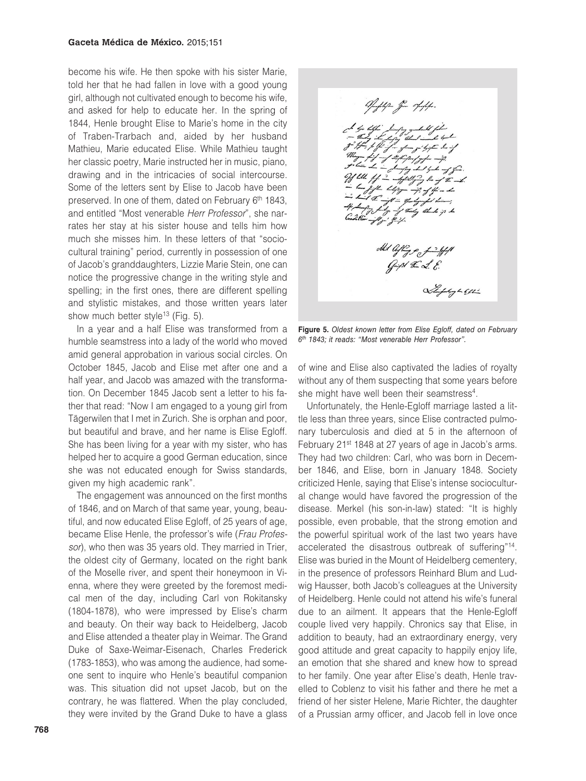become his wife. He then spoke with his sister Marie, told her that he had fallen in love with a good young girl, although not cultivated enough to become his wife, and asked for help to educate her. In the spring of 1844, Henle brought Elise to Marie's home in the city of Traben-Trarbach and, aided by her husband Mathieu, Marie educated Elise. While Mathieu taught her classic poetry, Marie instructed her in music, piano, drawing and in the intricacies of social intercourse. Some of the letters sent by Elise to Jacob have been preserved. In one of them, dated on February 6<sup>th</sup> 1843, and entitled "Most venerable *Herr Professor*", she narrates her stay at his sister house and tells him how much she misses him. In these letters of that "sociocultural training" period, currently in possession of one of Jacob's granddaughters, Lizzie Marie Stein, one can notice the progressive change in the writing style and spelling; in the first ones, there are different spelling and stylistic mistakes, and those written years later show much better style<sup>13</sup> (Fig. 5).

In a year and a half Elise was transformed from a humble seamstress into a lady of the world who moved amid general approbation in various social circles. On October 1845, Jacob and Elise met after one and a half year, and Jacob was amazed with the transformation. On December 1845 Jacob sent a letter to his father that read: "Now I am engaged to a young girl from Tägerwilen that I met in Zurich. She is orphan and poor, but beautiful and brave, and her name is Elise Egloff. She has been living for a year with my sister, who has helped her to acquire a good German education, since she was not educated enough for Swiss standards, given my high academic rank".

The engagement was announced on the first months of 1846, and on March of that same year, young, beautiful, and now educated Elise Egloff, of 25 years of age, became Elise Henle, the professor's wife (*Frau Professor*), who then was 35 years old. They married in Trier, the oldest city of Germany, located on the right bank of the Moselle river, and spent their honeymoon in Vienna, where they were greeted by the foremost medical men of the day, including Carl von Rokitansky (1804-1878), who were impressed by Elise's charm and beauty. On their way back to Heidelberg, Jacob and Elise attended a theater play in Weimar. The Grand Duke of Saxe-Weimar-Eisenach, Charles Frederick (1783-1853), who was among the audience, had someone sent to inquire who Henle's beautiful companion was. This situation did not upset Jacob, but on the contrary, he was flattered. When the play concluded, they were invited by the Grand Duke to have a glass



**Figure 5.** *Oldest known letter from Elise Egloff, dated on February 6th 1843; it reads: "Most venerable Herr Professor".*

of wine and Elise also captivated the ladies of royalty without any of them suspecting that some years before she might have well been their seamstress<sup>4</sup>.

Unfortunately, the Henle-Egloff marriage lasted a little less than three years, since Elise contracted pulmonary tuberculosis and died at 5 in the afternoon of February 21<sup>st</sup> 1848 at 27 years of age in Jacob's arms. They had two children: Carl, who was born in December 1846, and Elise, born in January 1848. Society criticized Henle, saying that Elise's intense sociocultural change would have favored the progression of the disease. Merkel (his son-in-law) stated: "It is highly possible, even probable, that the strong emotion and the powerful spiritual work of the last two years have accelerated the disastrous outbreak of suffering"14. Elise was buried in the Mount of Heidelberg cementery, in the presence of professors Reinhard Blum and Ludwig Hausser, both Jacob's colleagues at the University of Heidelberg. Henle could not attend his wife's funeral due to an ailment. It appears that the Henle-Egloff couple lived very happily. Chronics say that Elise, in addition to beauty, had an extraordinary energy, very good attitude and great capacity to happily enjoy life, an emotion that she shared and knew how to spread to her family. One year after Elise's death, Henle travelled to Coblenz to visit his father and there he met a friend of her sister Helene, Marie Richter, the daughter of a Prussian army officer, and Jacob fell in love once